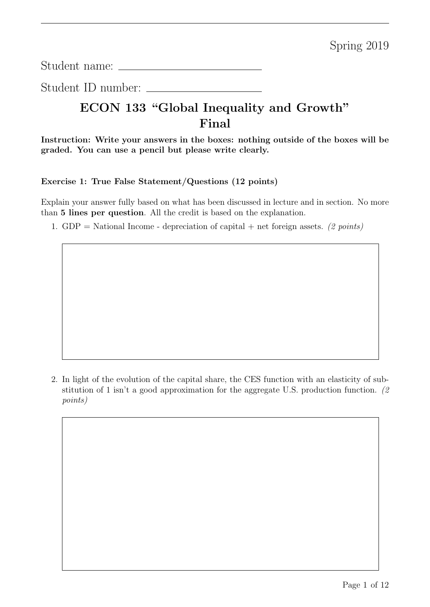Student name:

Student ID number:

# ECON 133 "Global Inequality and Growth" Final

Instruction: Write your answers in the boxes: nothing outside of the boxes will be graded. You can use a pencil but please write clearly.

#### Exercise 1: True False Statement/Questions (12 points)

Explain your answer fully based on what has been discussed in lecture and in section. No more than 5 lines per question. All the credit is based on the explanation.

1. GDP = National Income - depreciation of capital + net foreign assets. (2 points)

2. In light of the evolution of the capital share, the CES function with an elasticity of substitution of 1 isn't a good approximation for the aggregate U.S. production function. (2 points)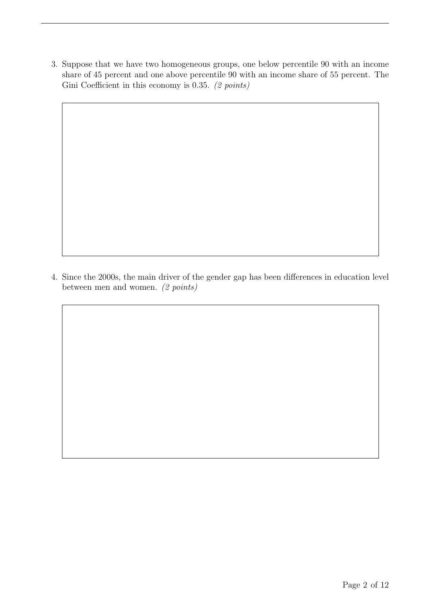3. Suppose that we have two homogeneous groups, one below percentile 90 with an income share of 45 percent and one above percentile 90 with an income share of 55 percent. The Gini Coefficient in this economy is 0.35. (2 points)

4. Since the 2000s, the main driver of the gender gap has been differences in education level between men and women. (2 points)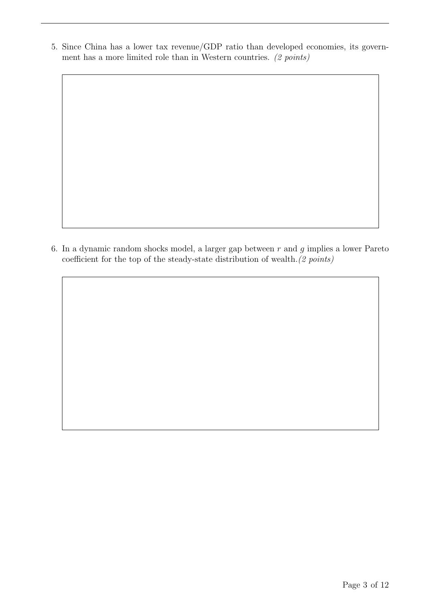5. Since China has a lower tax revenue/GDP ratio than developed economies, its government has a more limited role than in Western countries. (2 points)

6. In a dynamic random shocks model, a larger gap between  $r$  and  $g$  implies a lower Pareto coefficient for the top of the steady-state distribution of wealth.(2 points)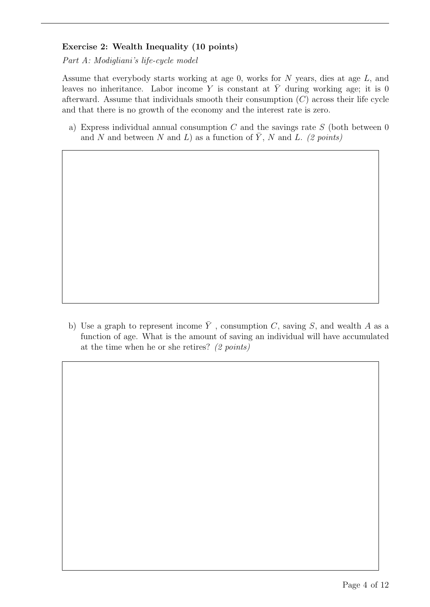## Exercise 2: Wealth Inequality (10 points)

Part A: Modigliani's life-cycle model

Assume that everybody starts working at age 0, works for N years, dies at age L, and leaves no inheritance. Labor income Y is constant at  $\overline{Y}$  during working age; it is 0 afterward. Assume that individuals smooth their consumption  $(C)$  across their life cycle and that there is no growth of the economy and the interest rate is zero.

a) Express individual annual consumption  $C$  and the savings rate  $S$  (both between 0 and N and between N and L) as a function of  $\overline{Y}$ , N and L. (2 points)

b) Use a graph to represent income  $\overline{Y}$ , consumption C, saving S, and wealth A as a function of age. What is the amount of saving an individual will have accumulated at the time when he or she retires? (2 points)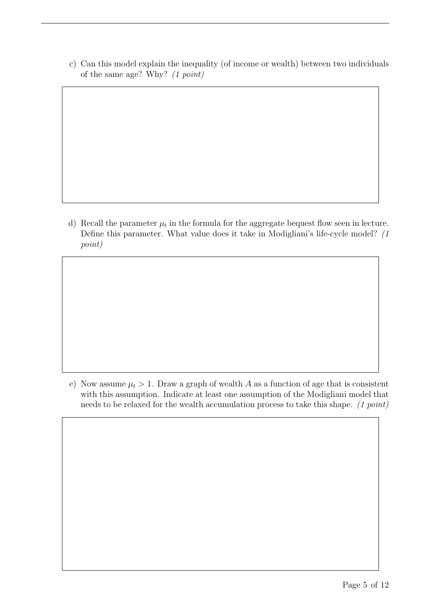c) Can this model explain the inequality (of income or wealth) between two individuals of the same age? Why? (1 point)

d) Recall the parameter  $\mu_t$  in the formula for the aggregate bequest flow seen in lecture. Define this parameter. What value does it take in Modigliani's life-cycle model? (1 point)

e) Now assume  $\mu_t > 1$ . Draw a graph of wealth A as a function of age that is consistent with this assumption. Indicate at least one assumption of the Modigliani model that needs to be relaxed for the wealth accumulation process to take this shape. (1 point)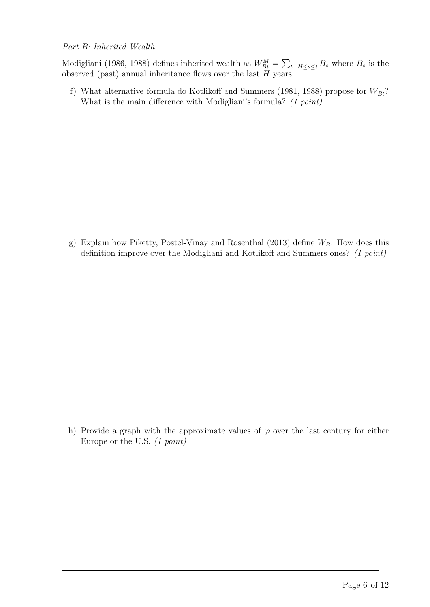## Part B: Inherited Wealth

Modigliani (1986, 1988) defines inherited wealth as  $W_{Bt}^M = \sum_{t-H \leq s \leq t} B_s$  where  $B_s$  is the observed (past) annual inheritance flows over the last  $H$  years.

f) What alternative formula do Kotlikoff and Summers (1981, 1988) propose for  $W_{Bt}$ ? What is the main difference with Modigliani's formula? (1 point)

g) Explain how Piketty, Postel-Vinay and Rosenthal (2013) define  $W_B$ . How does this definition improve over the Modigliani and Kotlikoff and Summers ones? (1 point)

h) Provide a graph with the approximate values of  $\varphi$  over the last century for either Europe or the U.S. (1 point)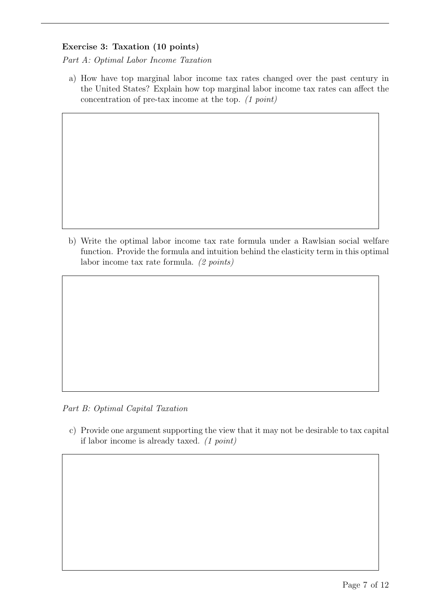### Exercise 3: Taxation (10 points)

Part A: Optimal Labor Income Taxation

a) How have top marginal labor income tax rates changed over the past century in the United States? Explain how top marginal labor income tax rates can affect the concentration of pre-tax income at the top. (1 point)

b) Write the optimal labor income tax rate formula under a Rawlsian social welfare function. Provide the formula and intuition behind the elasticity term in this optimal labor income tax rate formula. (2 points)

Part B: Optimal Capital Taxation

c) Provide one argument supporting the view that it may not be desirable to tax capital if labor income is already taxed. (1 point)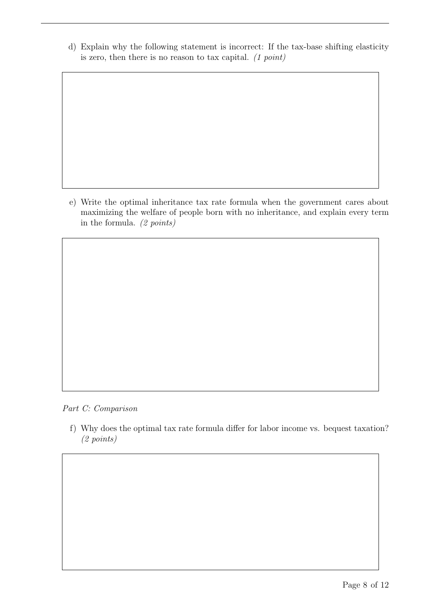d) Explain why the following statement is incorrect: If the tax-base shifting elasticity is zero, then there is no reason to tax capital.  $(1 point)$ 

e) Write the optimal inheritance tax rate formula when the government cares about maximizing the welfare of people born with no inheritance, and explain every term in the formula. (2 points)

Part C: Comparison

f) Why does the optimal tax rate formula differ for labor income vs. bequest taxation? (2 points)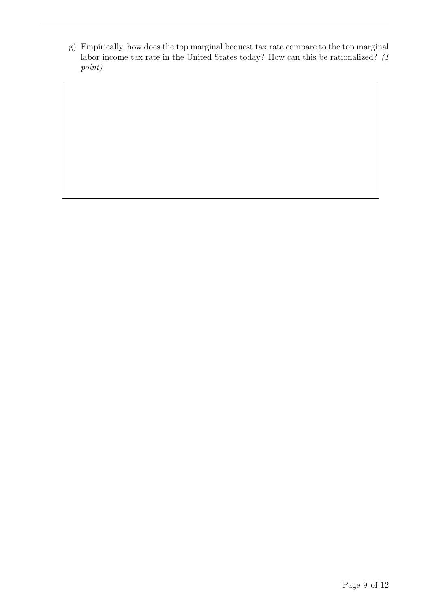g) Empirically, how does the top marginal bequest tax rate compare to the top marginal labor income tax rate in the United States today? How can this be rationalized? (1) point)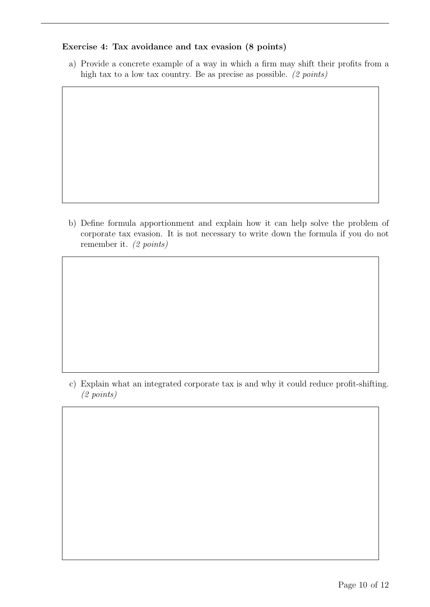#### Exercise 4: Tax avoidance and tax evasion (8 points)

a) Provide a concrete example of a way in which a firm may shift their profits from a high tax to a low tax country. Be as precise as possible. (2 points)

b) Define formula apportionment and explain how it can help solve the problem of corporate tax evasion. It is not necessary to write down the formula if you do not remember it. (2 points)

c) Explain what an integrated corporate tax is and why it could reduce profit-shifting. (2 points)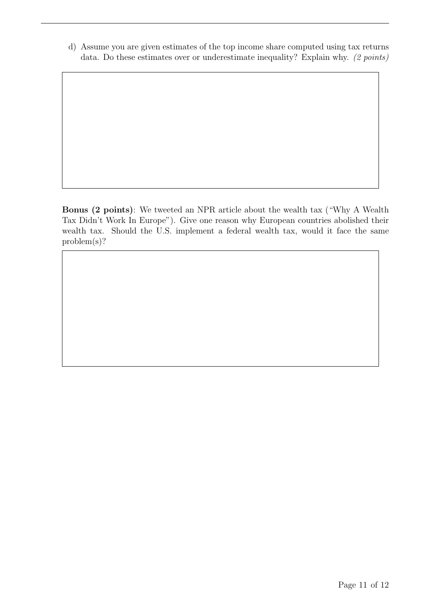d) Assume you are given estimates of the top income share computed using tax returns data. Do these estimates over or underestimate inequality? Explain why. (2 points)

Bonus (2 points): We tweeted an NPR article about the wealth tax ("Why A Wealth Tax Didn't Work In Europe"). Give one reason why European countries abolished their wealth tax. Should the U.S. implement a federal wealth tax, would it face the same problem(s)?